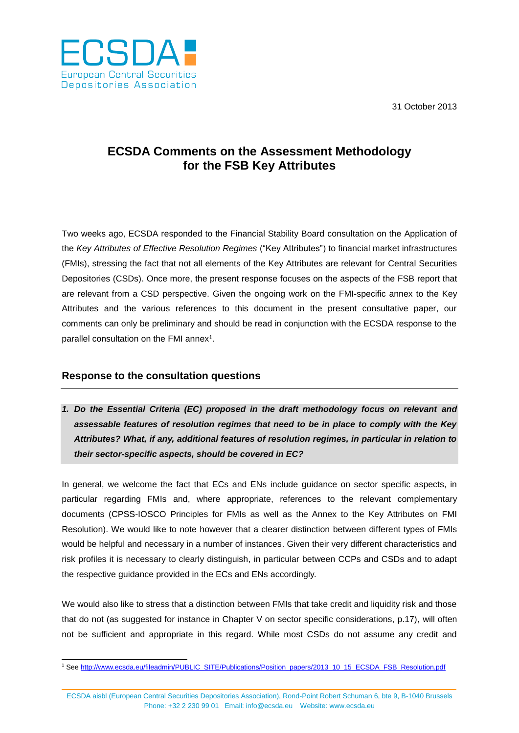31 October 2013



## **ECSDA Comments on the Assessment Methodology for the FSB Key Attributes**

Two weeks ago, ECSDA responded to the Financial Stability Board consultation on the Application of the *Key Attributes of Effective Resolution Regimes* ("Key Attributes") to financial market infrastructures (FMIs), stressing the fact that not all elements of the Key Attributes are relevant for Central Securities Depositories (CSDs). Once more, the present response focuses on the aspects of the FSB report that are relevant from a CSD perspective. Given the ongoing work on the FMI-specific annex to the Key Attributes and the various references to this document in the present consultative paper, our comments can only be preliminary and should be read in conjunction with the ECSDA response to the parallel consultation on the FMI annex<sup>1</sup>.

## **Response to the consultation questions**

*1. Do the Essential Criteria (EC) proposed in the draft methodology focus on relevant and assessable features of resolution regimes that need to be in place to comply with the Key Attributes? What, if any, additional features of resolution regimes, in particular in relation to their sector-specific aspects, should be covered in EC?*

In general, we welcome the fact that ECs and ENs include guidance on sector specific aspects, in particular regarding FMIs and, where appropriate, references to the relevant complementary documents (CPSS-IOSCO Principles for FMIs as well as the Annex to the Key Attributes on FMI Resolution). We would like to note however that a clearer distinction between different types of FMIs would be helpful and necessary in a number of instances. Given their very different characteristics and risk profiles it is necessary to clearly distinguish, in particular between CCPs and CSDs and to adapt the respective guidance provided in the ECs and ENs accordingly.

We would also like to stress that a distinction between FMIs that take credit and liquidity risk and those that do not (as suggested for instance in Chapter V on sector specific considerations, p.17), will often not be sufficient and appropriate in this regard. While most CSDs do not assume any credit and

ECSDA aisbl (European Central Securities Depositories Association), Rond-Point Robert Schuman 6, bte 9, B-1040 Brussels Phone: +32 2 230 99 01 Email: [info@ecsda.eu](mailto:info@ecsda.com) Website: [www.ecsda.eu](http://www.ecsda.eu/)

 $\overline{a}$ <sup>1</sup> Se[e http://www.ecsda.eu/fileadmin/PUBLIC\\_SITE/Publications/Position\\_papers/2013\\_10\\_15\\_ECSDA\\_FSB\\_Resolution.pdf](http://www.ecsda.eu/fileadmin/PUBLIC_SITE/Publications/Position_papers/2013_10_15_ECSDA_FSB_Resolution.pdf)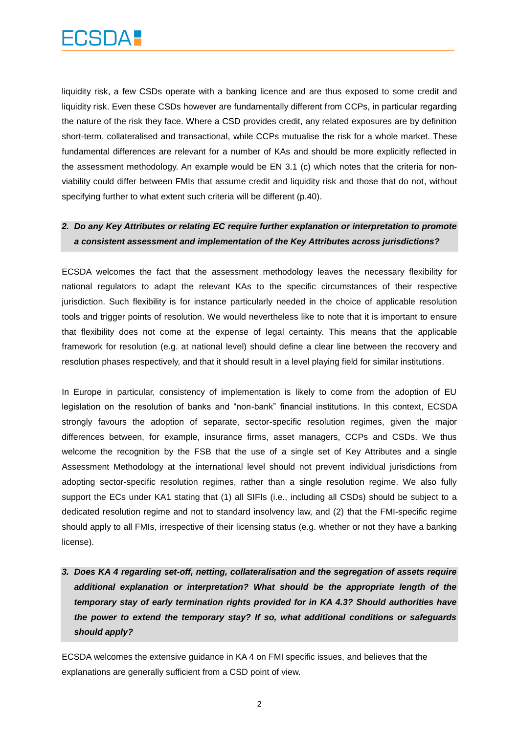liquidity risk, a few CSDs operate with a banking licence and are thus exposed to some credit and liquidity risk. Even these CSDs however are fundamentally different from CCPs, in particular regarding the nature of the risk they face. Where a CSD provides credit, any related exposures are by definition short-term, collateralised and transactional, while CCPs mutualise the risk for a whole market. These fundamental differences are relevant for a number of KAs and should be more explicitly reflected in the assessment methodology. An example would be EN 3.1 (c) which notes that the criteria for nonviability could differ between FMIs that assume credit and liquidity risk and those that do not, without specifying further to what extent such criteria will be different (p.40).

## *2. Do any Key Attributes or relating EC require further explanation or interpretation to promote a consistent assessment and implementation of the Key Attributes across jurisdictions?*

ECSDA welcomes the fact that the assessment methodology leaves the necessary flexibility for national regulators to adapt the relevant KAs to the specific circumstances of their respective jurisdiction. Such flexibility is for instance particularly needed in the choice of applicable resolution tools and trigger points of resolution. We would nevertheless like to note that it is important to ensure that flexibility does not come at the expense of legal certainty. This means that the applicable framework for resolution (e.g. at national level) should define a clear line between the recovery and resolution phases respectively, and that it should result in a level playing field for similar institutions.

In Europe in particular, consistency of implementation is likely to come from the adoption of EU legislation on the resolution of banks and "non-bank" financial institutions. In this context, ECSDA strongly favours the adoption of separate, sector-specific resolution regimes, given the major differences between, for example, insurance firms, asset managers, CCPs and CSDs. We thus welcome the recognition by the FSB that the use of a single set of Key Attributes and a single Assessment Methodology at the international level should not prevent individual jurisdictions from adopting sector-specific resolution regimes, rather than a single resolution regime. We also fully support the ECs under KA1 stating that (1) all SIFIs (i.e., including all CSDs) should be subject to a dedicated resolution regime and not to standard insolvency law, and (2) that the FMI-specific regime should apply to all FMIs, irrespective of their licensing status (e.g. whether or not they have a banking license).

*3. Does KA 4 regarding set-off, netting, collateralisation and the segregation of assets require additional explanation or interpretation? What should be the appropriate length of the temporary stay of early termination rights provided for in KA 4.3? Should authorities have the power to extend the temporary stay? If so, what additional conditions or safeguards should apply?*

ECSDA welcomes the extensive guidance in KA 4 on FMI specific issues, and believes that the explanations are generally sufficient from a CSD point of view.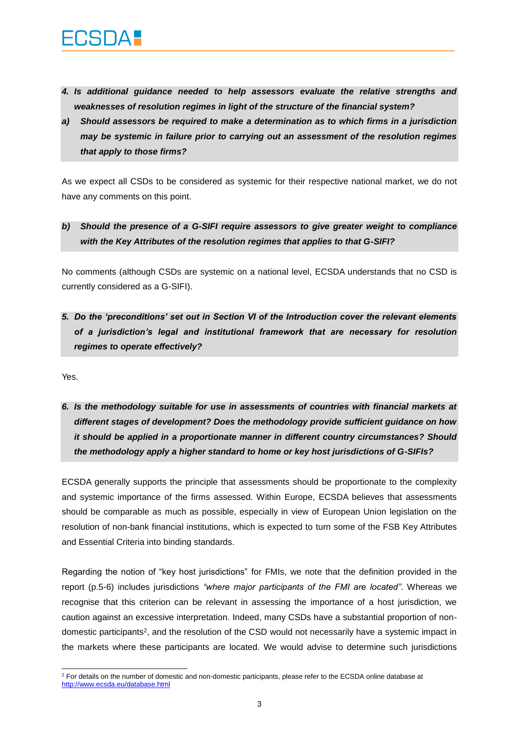- *4. Is additional guidance needed to help assessors evaluate the relative strengths and weaknesses of resolution regimes in light of the structure of the financial system?*
- *a) Should assessors be required to make a determination as to which firms in a jurisdiction may be systemic in failure prior to carrying out an assessment of the resolution regimes that apply to those firms?*

As we expect all CSDs to be considered as systemic for their respective national market, we do not have any comments on this point.

*b) Should the presence of a G-SIFI require assessors to give greater weight to compliance with the Key Attributes of the resolution regimes that applies to that G-SIFI?*

No comments (although CSDs are systemic on a national level, ECSDA understands that no CSD is currently considered as a G-SIFI).

*5. Do the 'preconditions' set out in Section VI of the Introduction cover the relevant elements of a jurisdiction's legal and institutional framework that are necessary for resolution regimes to operate effectively?*

Yes.

*6. Is the methodology suitable for use in assessments of countries with financial markets at different stages of development? Does the methodology provide sufficient guidance on how it should be applied in a proportionate manner in different country circumstances? Should the methodology apply a higher standard to home or key host jurisdictions of G-SIFIs?*

ECSDA generally supports the principle that assessments should be proportionate to the complexity and systemic importance of the firms assessed. Within Europe, ECSDA believes that assessments should be comparable as much as possible, especially in view of European Union legislation on the resolution of non-bank financial institutions, which is expected to turn some of the FSB Key Attributes and Essential Criteria into binding standards.

Regarding the notion of "key host jurisdictions" for FMIs, we note that the definition provided in the report (p.5-6) includes jurisdictions *"where major participants of the FMI are located"*. Whereas we recognise that this criterion can be relevant in assessing the importance of a host jurisdiction, we caution against an excessive interpretation. Indeed, many CSDs have a substantial proportion of nondomestic participants<sup>2</sup>, and the resolution of the CSD would not necessarily have a systemic impact in the markets where these participants are located. We would advise to determine such jurisdictions

 $\overline{a}$ <sup>2</sup> For details on the number of domestic and non-domestic participants, please refer to the ECSDA online database at <http://www.ecsda.eu/database.html>